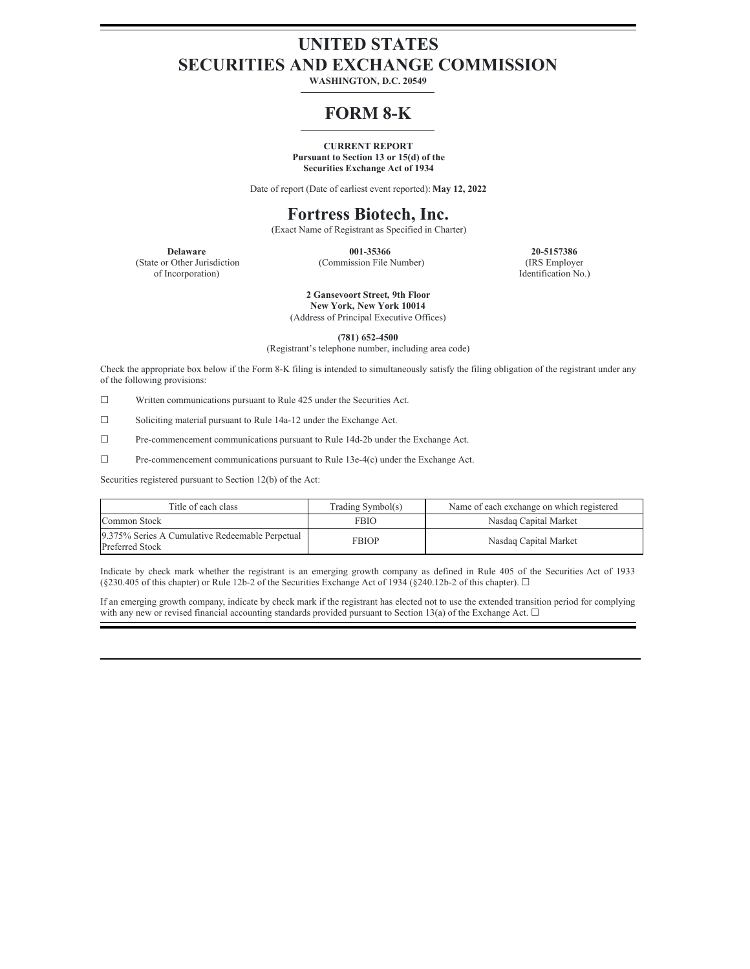# **UNITED STATES SECURITIES AND EXCHANGE COMMISSION**

**WASHINGTON, D.C. 20549**

# **FORM 8-K**

#### **CURRENT REPORT Pursuant to Section 13 or 15(d) of the Securities Exchange Act of 1934**

Date of report (Date of earliest event reported): **May 12, 2022**

# **Fortress Biotech, Inc.**

(Exact Name of Registrant as Specified in Charter)

**Delaware**

(State or Other Jurisdiction of Incorporation)

**001-35366** (Commission File Number)

**20-5157386** (IRS Employer Identification No.)

**2 Gansevoort Street, 9th Floor New York, New York 10014** (Address of Principal Executive Offices)

**(781) 652-4500**

(Registrant's telephone number, including area code)

Check the appropriate box below if the Form 8-K filing is intended to simultaneously satisfy the filing obligation of the registrant under any of the following provisions:

☐ Written communications pursuant to Rule 425 under the Securities Act.

☐ Soliciting material pursuant to Rule 14a-12 under the Exchange Act.

☐ Pre-commencement communications pursuant to Rule 14d-2b under the Exchange Act.

☐ Pre-commencement communications pursuant to Rule 13e-4(c) under the Exchange Act.

Securities registered pursuant to Section 12(b) of the Act:

| Title of each class                                                       | Trading Symbol(s) | Name of each exchange on which registered |
|---------------------------------------------------------------------------|-------------------|-------------------------------------------|
| Common Stock                                                              | <b>FBIO</b>       | Nasdaq Capital Market                     |
| 9.375% Series A Cumulative Redeemable Perpetual<br><b>Preferred Stock</b> | <b>FBIOP</b>      | Nasdaq Capital Market                     |

Indicate by check mark whether the registrant is an emerging growth company as defined in Rule 405 of the Securities Act of 1933  $(\S230.405 \text{ of this chapter})$  or Rule 12b-2 of the Securities Exchange Act of 1934  $(\S240.12b-2 \text{ of this chapter})$ .

If an emerging growth company, indicate by check mark if the registrant has elected not to use the extended transition period for complying with any new or revised financial accounting standards provided pursuant to Section 13(a) of the Exchange Act. □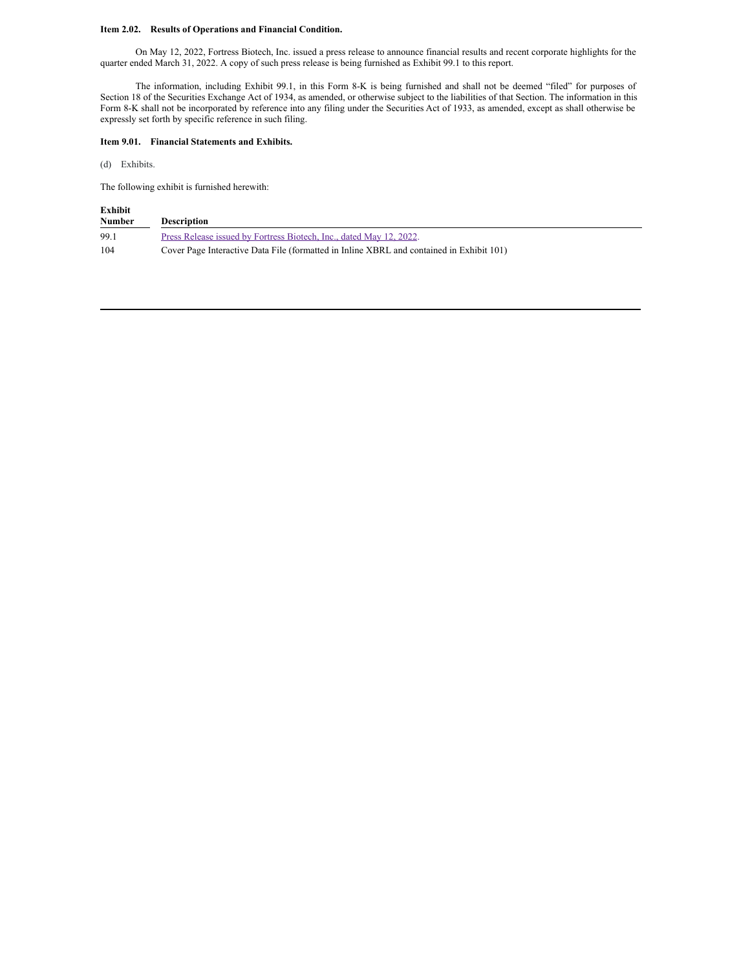#### **Item 2.02. Results of Operations and Financial Condition.**

On May 12, 2022, Fortress Biotech, Inc. issued a press release to announce financial results and recent corporate highlights for the quarter ended March 31, 2022. A copy of such press release is being furnished as Exhibit 99.1 to this report.

The information, including Exhibit 99.1, in this Form 8-K is being furnished and shall not be deemed "filed" for purposes of Section 18 of the Securities Exchange Act of 1934, as amended, or otherwise subject to the liabilities of that Section. The information in this Form 8-K shall not be incorporated by reference into any filing under the Securities Act of 1933, as amended, except as shall otherwise be expressly set forth by specific reference in such filing.

#### **Item 9.01. Financial Statements and Exhibits.**

(d) Exhibits.

The following exhibit is furnished herewith:

| Exhibit |                                                                                          |
|---------|------------------------------------------------------------------------------------------|
| Number  | <b>Description</b>                                                                       |
| 99.1    | Press Release issued by Fortress Biotech, Inc., dated May 12, 2022.                      |
| 104     | Cover Page Interactive Data File (formatted in Inline XBRL and contained in Exhibit 101) |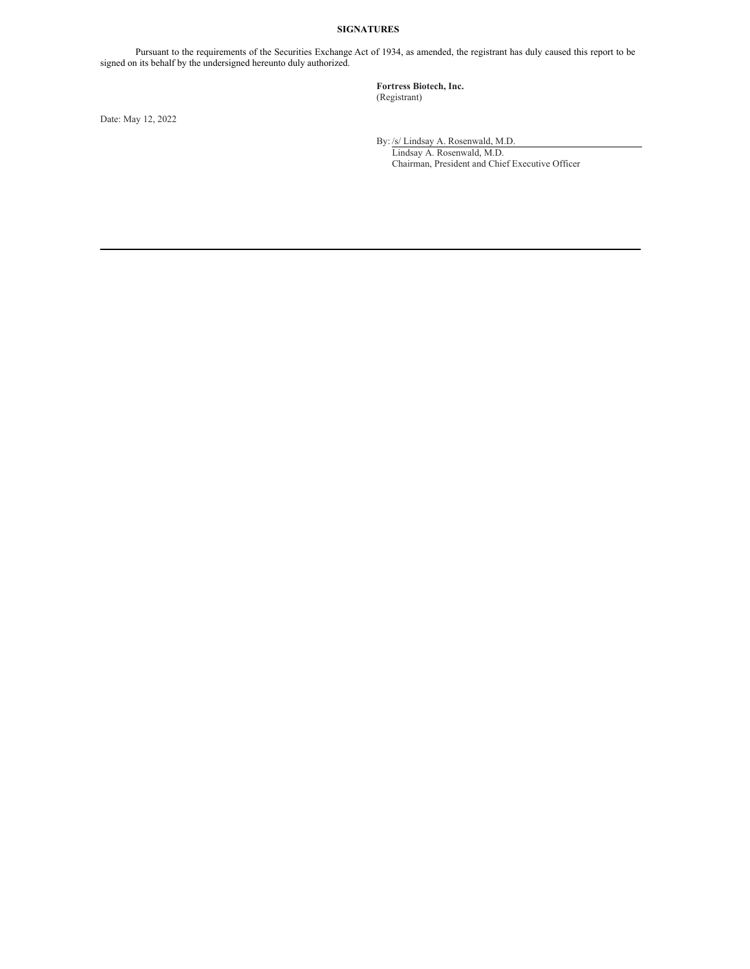#### **SIGNATURES**

Pursuant to the requirements of the Securities Exchange Act of 1934, as amended, the registrant has duly caused this report to be signed on its behalf by the undersigned hereunto duly authorized.

> **Fortress Biotech, Inc.** (Registrant)

Date: May 12, 2022

By: /s/ Lindsay A. Rosenwald, M.D.

Lindsay A. Rosenwald, M.D. Chairman, President and Chief Executive Officer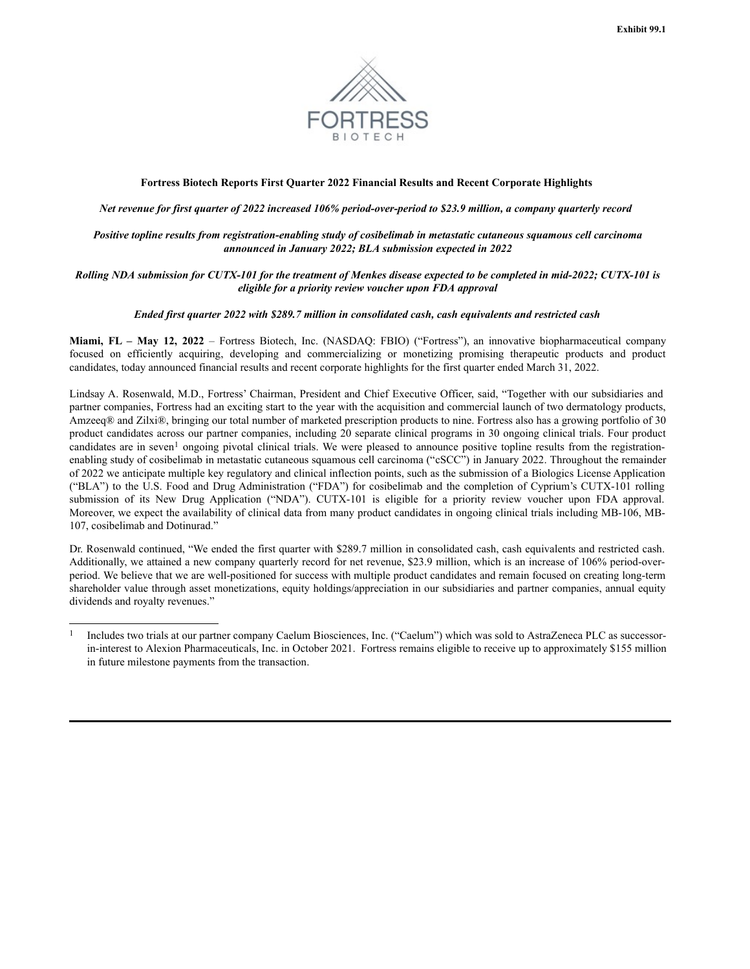

## **Fortress Biotech Reports First Quarter 2022 Financial Results and Recent Corporate Highlights**

Net revenue for first quarter of 2022 increased 106% period-over-period to \$23.9 million, a company quarterly record

### *Positive topline results from registration-enabling study of cosibelimab in metastatic cutaneous squamous cell carcinoma announced in January 2022; BLA submission expected in 2022*

### Rolling NDA submission for CUTX-101 for the treatment of Menkes disease expected to be completed in mid-2022; CUTX-101 is *eligible for a priority review voucher upon FDA approval*

*Ended first quarter 2022 with \$289.7 million in consolidated cash, cash equivalents and restricted cash*

**Miami, FL – May 12, 2022** – Fortress Biotech, Inc. (NASDAQ: FBIO) ("Fortress"), an innovative biopharmaceutical company focused on efficiently acquiring, developing and commercializing or monetizing promising therapeutic products and product candidates, today announced financial results and recent corporate highlights for the first quarter ended March 31, 2022.

Lindsay A. Rosenwald, M.D., Fortress' Chairman, President and Chief Executive Officer, said, "Together with our subsidiaries and partner companies, Fortress had an exciting start to the year with the acquisition and commercial launch of two dermatology products, Amzeeq® and Zilxi®, bringing our total number of marketed prescription products to nine. Fortress also has a growing portfolio of 30 product candidates across our partner companies, including 20 separate clinical programs in 30 ongoing clinical trials. Four product candidates are in seven<sup>1</sup> ongoing pivotal clinical trials. We were pleased to announce positive topline results from the registrationenabling study of cosibelimab in metastatic cutaneous squamous cell carcinoma ("cSCC") in January 2022. Throughout the remainder of 2022 we anticipate multiple key regulatory and clinical inflection points, such as the submission of a Biologics License Application ("BLA") to the U.S. Food and Drug Administration ("FDA") for cosibelimab and the completion of Cyprium's CUTX-101 rolling submission of its New Drug Application ("NDA"). CUTX-101 is eligible for a priority review voucher upon FDA approval. Moreover, we expect the availability of clinical data from many product candidates in ongoing clinical trials including MB-106, MB-107, cosibelimab and Dotinurad."

Dr. Rosenwald continued, "We ended the first quarter with \$289.7 million in consolidated cash, cash equivalents and restricted cash. Additionally, we attained a new company quarterly record for net revenue, \$23.9 million, which is an increase of 106% period-overperiod. We believe that we are well-positioned for success with multiple product candidates and remain focused on creating long-term shareholder value through asset monetizations, equity holdings/appreciation in our subsidiaries and partner companies, annual equity dividends and royalty revenues."

<sup>1</sup> Includes two trials at our partner company Caelum Biosciences, Inc. ("Caelum") which was sold to AstraZeneca PLC as successorin-interest to Alexion Pharmaceuticals, Inc. in October 2021. Fortress remains eligible to receive up to approximately \$155 million in future milestone payments from the transaction.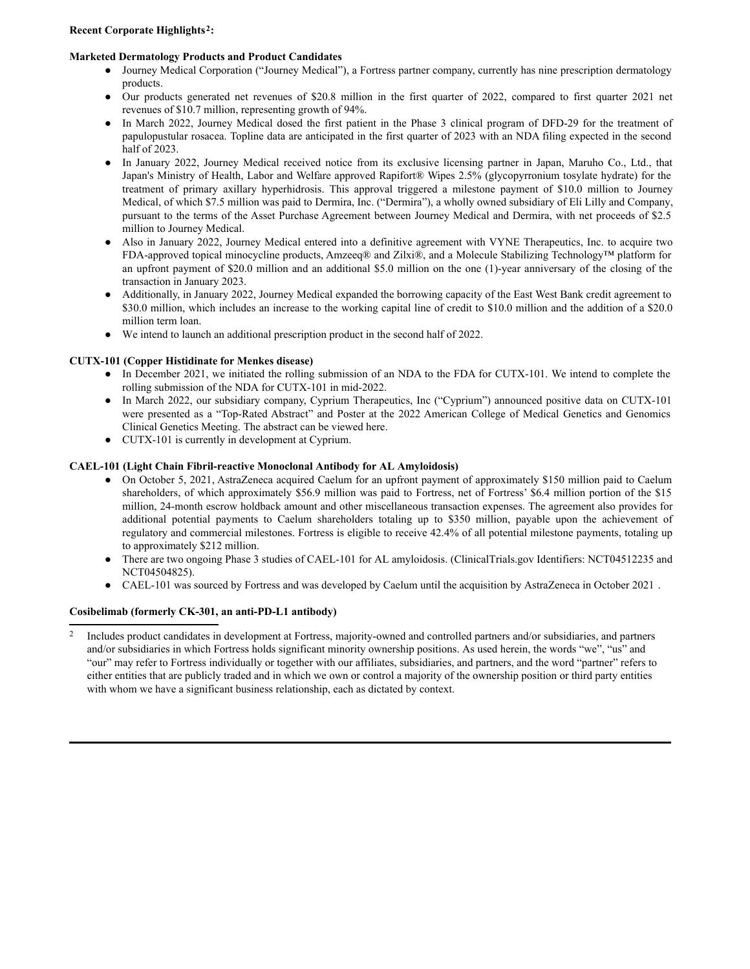## **Marketed Dermatology Products and Product Candidates**

- Journey Medical Corporation ("Journey Medical"), a Fortress partner company, currently has nine prescription dermatology products.
- Our products generated net revenues of \$20.8 million in the first quarter of 2022, compared to first quarter 2021 net revenues of \$10.7 million, representing growth of 94%.
- In March 2022, Journey Medical dosed the first patient in the Phase 3 clinical program of DFD-29 for the treatment of papulopustular rosacea. Topline data are anticipated in the first quarter of 2023 with an NDA filing expected in the second half of 2023.
- In January 2022, Journey Medical received notice from its exclusive licensing partner in Japan, Maruho Co., Ltd., that Japan's Ministry of Health, Labor and Welfare approved Rapifort® Wipes 2.5% (glycopyrronium tosylate hydrate) for the treatment of primary axillary hyperhidrosis. This approval triggered a milestone payment of \$10.0 million to Journey Medical, of which \$7.5 million was paid to Dermira, Inc. ("Dermira"), a wholly owned subsidiary of Eli Lilly and Company, pursuant to the terms of the Asset Purchase Agreement between Journey Medical and Dermira, with net proceeds of \$2.5 million to Journey Medical.
- Also in January 2022, Journey Medical entered into a definitive agreement with VYNE Therapeutics, Inc. to acquire two FDA-approved topical minocycline products, Amzeeq® and Zilxi®, and a Molecule Stabilizing Technology™ platform for an upfront payment of \$20.0 million and an additional \$5.0 million on the one (1)-year anniversary of the closing of the transaction in January 2023.
- Additionally, in January 2022, Journey Medical expanded the borrowing capacity of the East West Bank credit agreement to \$30.0 million, which includes an increase to the working capital line of credit to \$10.0 million and the addition of a \$20.0 million term loan.
- We intend to launch an additional prescription product in the second half of 2022.

### **CUTX-101 (Copper Histidinate for Menkes disease)**

- In December 2021, we initiated the rolling submission of an NDA to the FDA for CUTX-101. We intend to complete the rolling submission of the NDA for CUTX-101 in mid-2022.
- In March 2022, our subsidiary company, Cyprium Therapeutics, Inc ("Cyprium") announced positive data on CUTX-101 were presented as a "Top-Rated Abstract" and Poster at the 2022 American College of Medical Genetics and Genomics Clinical Genetics Meeting. The abstract can be viewed here.
- CUTX-101 is currently in development at Cyprium.

# **CAEL-101 (Light Chain Fibril-reactive Monoclonal Antibody for AL Amyloidosis)**

- On October 5, 2021, AstraZeneca acquired Caelum for an upfront payment of approximately \$150 million paid to Caelum shareholders, of which approximately \$56.9 million was paid to Fortress, net of Fortress' \$6.4 million portion of the \$15 million, 24-month escrow holdback amount and other miscellaneous transaction expenses. The agreement also provides for additional potential payments to Caelum shareholders totaling up to \$350 million, payable upon the achievement of regulatory and commercial milestones. Fortress is eligible to receive 42.4% of all potential milestone payments, totaling up to approximately \$212 million.
- There are two ongoing Phase 3 studies of CAEL-101 for AL amyloidosis. (ClinicalTrials.gov Identifiers: NCT04512235 and NCT04504825).
- CAEL-101 was sourced by Fortress and was developed by Caelum until the acquisition by AstraZeneca in October 2021 .

# **Cosibelimab (formerly CK-301, an anti-PD-L1 antibody)**

<sup>2</sup> Includes product candidates in development at Fortress, majority-owned and controlled partners and/or subsidiaries, and partners and/or subsidiaries in which Fortress holds significant minority ownership positions. As used herein, the words "we", "us" and "our" may refer to Fortress individually or together with our affiliates, subsidiaries, and partners, and the word "partner" refers to either entities that are publicly traded and in which we own or control a majority of the ownership position or third party entities with whom we have a significant business relationship, each as dictated by context.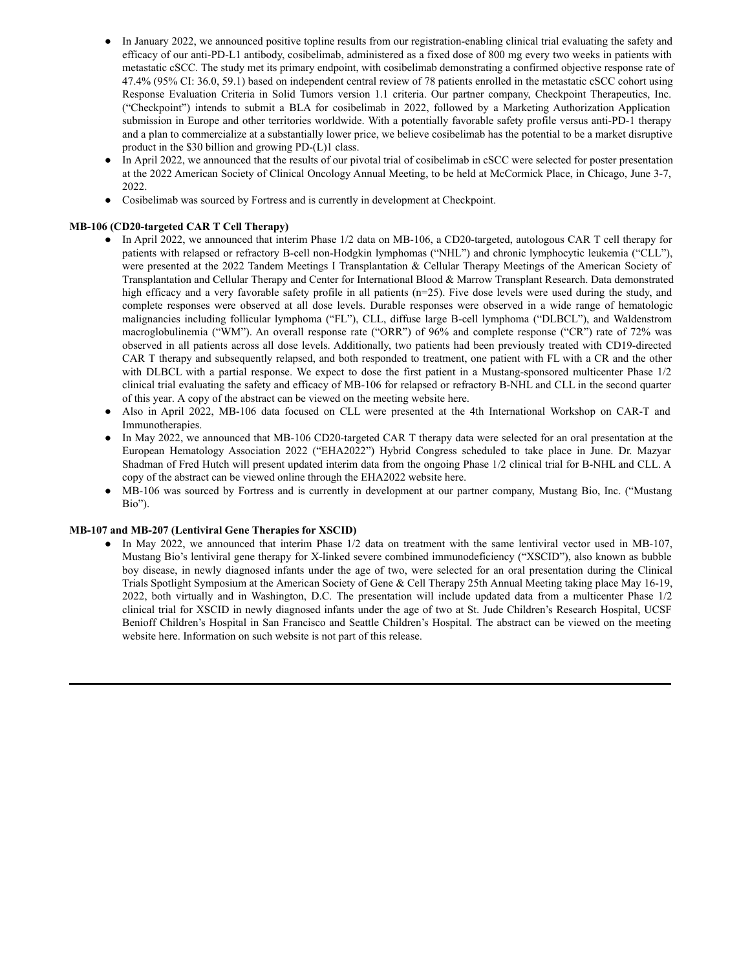- In January 2022, we announced positive topline results from our registration-enabling clinical trial evaluating the safety and efficacy of our anti-PD-L1 antibody, cosibelimab, administered as a fixed dose of 800 mg every two weeks in patients with metastatic cSCC. The study met its primary endpoint, with cosibelimab demonstrating a confirmed objective response rate of 47.4% (95% CI: 36.0, 59.1) based on independent central review of 78 patients enrolled in the metastatic cSCC cohort using Response Evaluation Criteria in Solid Tumors version 1.1 criteria. Our partner company, Checkpoint Therapeutics, Inc. ("Checkpoint") intends to submit a BLA for cosibelimab in 2022, followed by a Marketing Authorization Application submission in Europe and other territories worldwide. With a potentially favorable safety profile versus anti-PD-1 therapy and a plan to commercialize at a substantially lower price, we believe cosibelimab has the potential to be a market disruptive product in the \$30 billion and growing PD-(L)1 class.
- In April 2022, we announced that the results of our pivotal trial of cosibelimab in cSCC were selected for poster presentation at the 2022 American Society of Clinical Oncology Annual Meeting, to be held at McCormick Place, in Chicago, June 3-7, 2022.
- Cosibelimab was sourced by Fortress and is currently in development at Checkpoint.

# **MB-106 (CD20-targeted CAR T Cell Therapy)**

- In April 2022, we announced that interim Phase 1/2 data on MB-106, a CD20-targeted, autologous CAR T cell therapy for patients with relapsed or refractory B-cell non-Hodgkin lymphomas ("NHL") and chronic lymphocytic leukemia ("CLL"), were presented at the 2022 Tandem Meetings I Transplantation & Cellular Therapy Meetings of the American Society of Transplantation and Cellular Therapy and Center for International Blood & Marrow Transplant Research. Data demonstrated high efficacy and a very favorable safety profile in all patients (n=25). Five dose levels were used during the study, and complete responses were observed at all dose levels. Durable responses were observed in a wide range of hematologic malignancies including follicular lymphoma ("FL"), CLL, diffuse large B-cell lymphoma ("DLBCL"), and Waldenstrom macroglobulinemia ("WM"). An overall response rate ("ORR") of 96% and complete response ("CR") rate of 72% was observed in all patients across all dose levels. Additionally, two patients had been previously treated with CD19-directed CAR T therapy and subsequently relapsed, and both responded to treatment, one patient with FL with a CR and the other with DLBCL with a partial response. We expect to dose the first patient in a Mustang-sponsored multicenter Phase 1/2 clinical trial evaluating the safety and efficacy of MB-106 for relapsed or refractory B-NHL and CLL in the second quarter of this year. A copy of the abstract can be viewed on the meeting website here.
- Also in April 2022, MB-106 data focused on CLL were presented at the 4th International Workshop on CAR-T and Immunotherapies.
- In May 2022, we announced that MB-106 CD20-targeted CAR T therapy data were selected for an oral presentation at the European Hematology Association 2022 ("EHA2022") Hybrid Congress scheduled to take place in June. Dr. Mazyar Shadman of Fred Hutch will present updated interim data from the ongoing Phase 1/2 clinical trial for B-NHL and CLL. A copy of the abstract can be viewed online through the EHA2022 website here.
- MB-106 was sourced by Fortress and is currently in development at our partner company, Mustang Bio, Inc. ("Mustang Bio").

### **MB-107 and MB-207 (Lentiviral Gene Therapies for XSCID)**

● In May 2022, we announced that interim Phase 1/2 data on treatment with the same lentiviral vector used in MB-107, Mustang Bio's lentiviral gene therapy for X-linked severe combined immunodeficiency ("XSCID"), also known as bubble boy disease, in newly diagnosed infants under the age of two, were selected for an oral presentation during the Clinical Trials Spotlight Symposium at the American Society of Gene & Cell Therapy 25th Annual Meeting taking place May 16-19, 2022, both virtually and in Washington, D.C. The presentation will include updated data from a multicenter Phase 1/2 clinical trial for XSCID in newly diagnosed infants under the age of two at St. Jude Children's Research Hospital, UCSF Benioff Children's Hospital in San Francisco and Seattle Children's Hospital. The abstract can be viewed on the meeting website here. Information on such website is not part of this release.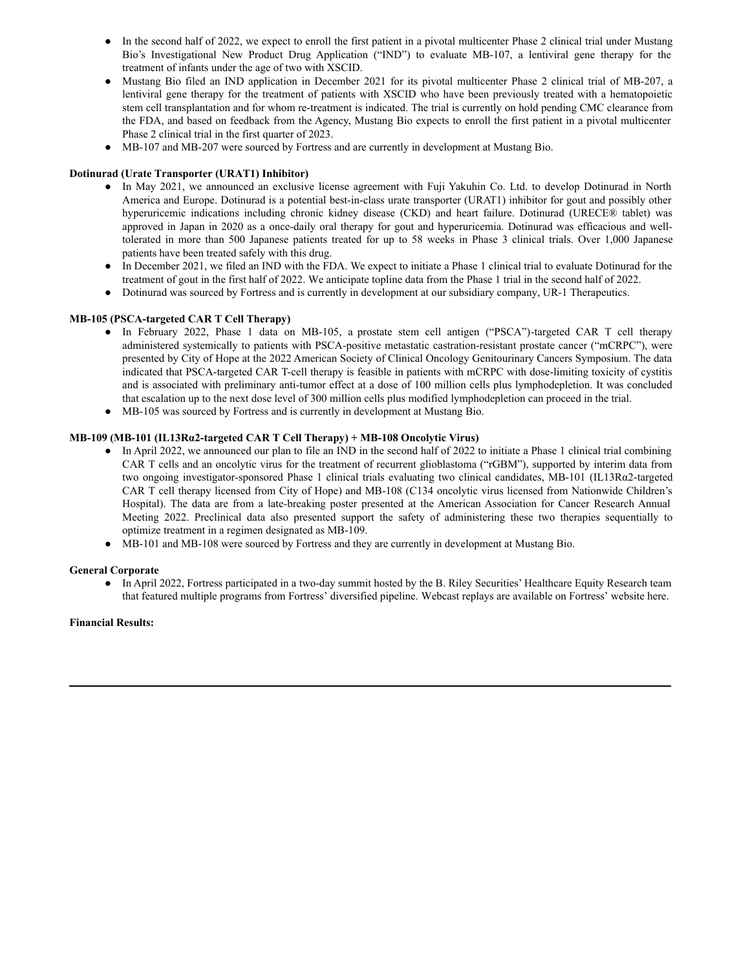- In the second half of 2022, we expect to enroll the first patient in a pivotal multicenter Phase 2 clinical trial under Mustang Bio's Investigational New Product Drug Application ("IND") to evaluate MB-107, a lentiviral gene therapy for the treatment of infants under the age of two with XSCID.
- Mustang Bio filed an IND application in December 2021 for its pivotal multicenter Phase 2 clinical trial of MB-207, a lentiviral gene therapy for the treatment of patients with XSCID who have been previously treated with a hematopoietic stem cell transplantation and for whom re-treatment is indicated. The trial is currently on hold pending CMC clearance from the FDA, and based on feedback from the Agency, Mustang Bio expects to enroll the first patient in a pivotal multicenter Phase 2 clinical trial in the first quarter of 2023.
- MB-107 and MB-207 were sourced by Fortress and are currently in development at Mustang Bio.

# **Dotinurad (Urate Transporter (URAT1) Inhibitor)**

- In May 2021, we announced an exclusive license agreement with Fuji Yakuhin Co. Ltd. to develop Dotinurad in North America and Europe. Dotinurad is a potential best-in-class urate transporter (URAT1) inhibitor for gout and possibly other hyperuricemic indications including chronic kidney disease (CKD) and heart failure. Dotinurad (URECE® tablet) was approved in Japan in 2020 as a once-daily oral therapy for gout and hyperuricemia. Dotinurad was efficacious and welltolerated in more than 500 Japanese patients treated for up to 58 weeks in Phase 3 clinical trials. Over 1,000 Japanese patients have been treated safely with this drug.
- In December 2021, we filed an IND with the FDA. We expect to initiate a Phase 1 clinical trial to evaluate Dotinurad for the treatment of gout in the first half of 2022. We anticipate topline data from the Phase 1 trial in the second half of 2022.
- Dotinurad was sourced by Fortress and is currently in development at our subsidiary company, UR-1 Therapeutics.

#### **MB-105 (PSCA-targeted CAR T Cell Therapy)**

- In February 2022, Phase 1 data on MB-105, a prostate stem cell antigen ("PSCA")-targeted CAR T cell therapy administered systemically to patients with PSCA-positive metastatic castration-resistant prostate cancer ("mCRPC"), were presented by City of Hope at the 2022 American Society of Clinical Oncology Genitourinary Cancers Symposium. The data indicated that PSCA-targeted CAR T-cell therapy is feasible in patients with mCRPC with dose-limiting toxicity of cystitis and is associated with preliminary anti-tumor effect at a dose of 100 million cells plus lymphodepletion. It was concluded that escalation up to the next dose level of 300 million cells plus modified lymphodepletion can proceed in the trial.
- MB-105 was sourced by Fortress and is currently in development at Mustang Bio.

# **MB-109 (MB-101 (IL13Rα2-targeted CAR T Cell Therapy) + MB-108 Oncolytic Virus)**

- In April 2022, we announced our plan to file an IND in the second half of 2022 to initiate a Phase 1 clinical trial combining CAR T cells and an oncolytic virus for the treatment of recurrent glioblastoma ("rGBM"), supported by interim data from two ongoing investigator-sponsored Phase 1 clinical trials evaluating two clinical candidates, MB-101 (IL13Ra2-targeted CAR T cell therapy licensed from City of Hope) and MB-108 (C134 oncolytic virus licensed from Nationwide Children's Hospital). The data are from a late-breaking poster presented at the American Association for Cancer Research Annual Meeting 2022. Preclinical data also presented support the safety of administering these two therapies sequentially to optimize treatment in a regimen designated as MB-109.
- MB-101 and MB-108 were sourced by Fortress and they are currently in development at Mustang Bio.

#### **General Corporate**

● In April 2022, Fortress participated in a two-day summit hosted by the B. Riley Securities' Healthcare Equity Research team that featured multiple programs from Fortress' diversified pipeline. Webcast replays are available on Fortress' website here.

#### **Financial Results:**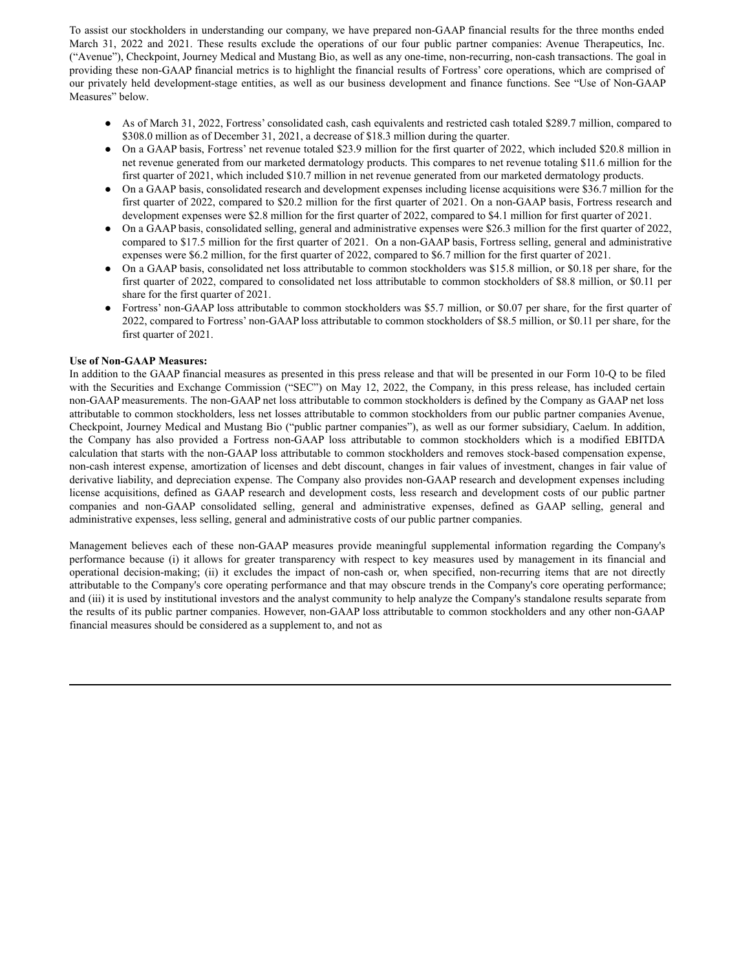<span id="page-7-0"></span>To assist our stockholders in understanding our company, we have prepared non-GAAP financial results for the three months ended March 31, 2022 and 2021. These results exclude the operations of our four public partner companies: Avenue Therapeutics, Inc. ("Avenue"), Checkpoint, Journey Medical and Mustang Bio, as well as any one-time, non-recurring, non-cash transactions. The goal in providing these non-GAAP financial metrics is to highlight the financial results of Fortress' core operations, which are comprised of our privately held development-stage entities, as well as our business development and finance functions. See "Use of Non-GAAP Measures" below.

- As of March 31, 2022, Fortress' consolidated cash, cash equivalents and restricted cash totaled \$289.7 million, compared to \$308.0 million as of December 31, 2021, a decrease of \$18.3 million during the quarter.
- On a GAAP basis, Fortress' net revenue totaled \$23.9 million for the first quarter of 2022, which included \$20.8 million in net revenue generated from our marketed dermatology products. This compares to net revenue totaling \$11.6 million for the first quarter of 2021, which included \$10.7 million in net revenue generated from our marketed dermatology products.
- On a GAAP basis, consolidated research and development expenses including license acquisitions were \$36.7 million for the first quarter of 2022, compared to \$20.2 million for the first quarter of 2021. On a non-GAAP basis, Fortress research and development expenses were \$2.8 million for the first quarter of 2022, compared to \$4.1 million for first quarter of 2021.
- On a GAAP basis, consolidated selling, general and administrative expenses were \$26.3 million for the first quarter of 2022, compared to \$17.5 million for the first quarter of 2021. On a non-GAAP basis, Fortress selling, general and administrative expenses were \$6.2 million, for the first quarter of 2022, compared to \$6.7 million for the first quarter of 2021.
- On a GAAP basis, consolidated net loss attributable to common stockholders was \$15.8 million, or \$0.18 per share, for the first quarter of 2022, compared to consolidated net loss attributable to common stockholders of \$8.8 million, or \$0.11 per share for the first quarter of 2021.
- Fortress' non-GAAP loss attributable to common stockholders was \$5.7 million, or \$0.07 per share, for the first quarter of 2022, compared to Fortress' non-GAAP loss attributable to common stockholders of \$8.5 million, or \$0.11 per share, for the first quarter of 2021.

### **Use of Non-GAAP Measures:**

In addition to the GAAP financial measures as presented in this press release and that will be presented in our Form 10-Q to be filed with the Securities and Exchange Commission ("SEC") on May 12, 2022, the Company, in this press release, has included certain non-GAAP measurements. The non-GAAP net loss attributable to common stockholders is defined by the Company as GAAP net loss attributable to common stockholders, less net losses attributable to common stockholders from our public partner companies Avenue, Checkpoint, Journey Medical and Mustang Bio ("public partner companies"), as well as our former subsidiary, Caelum. In addition, the Company has also provided a Fortress non-GAAP loss attributable to common stockholders which is a modified EBITDA calculation that starts with the non-GAAP loss attributable to common stockholders and removes stock-based compensation expense, non-cash interest expense, amortization of licenses and debt discount, changes in fair values of investment, changes in fair value of derivative liability, and depreciation expense. The Company also provides non-GAAP research and development expenses including license acquisitions, defined as GAAP research and development costs, less research and development costs of our public partner companies and non-GAAP consolidated selling, general and administrative expenses, defined as GAAP selling, general and administrative expenses, less selling, general and administrative costs of our public partner companies.

Management believes each of these non-GAAP measures provide meaningful supplemental information regarding the Company's performance because (i) it allows for greater transparency with respect to key measures used by management in its financial and operational decision-making; (ii) it excludes the impact of non-cash or, when specified, non-recurring items that are not directly attributable to the Company's core operating performance and that may obscure trends in the Company's core operating performance; and (iii) it is used by institutional investors and the analyst community to help analyze the Company's standalone results separate from the results of its public partner companies. However, non-GAAP loss attributable to common stockholders and any other non-GAAP financial measures should be considered as a supplement to, and not as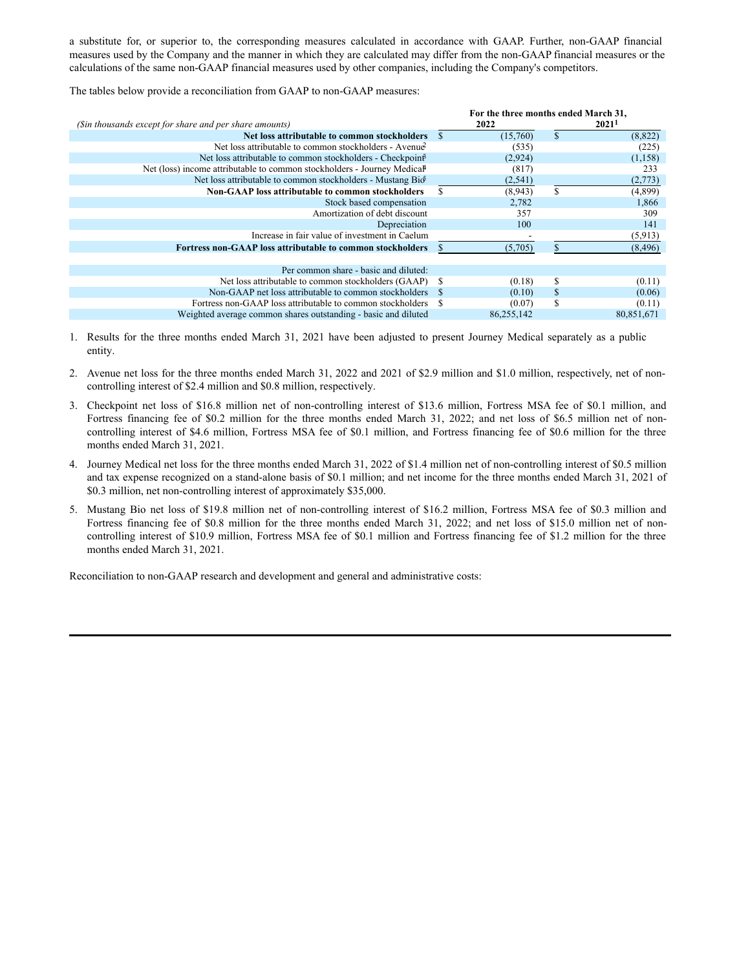a substitute for, or superior to, the corresponding measures calculated in accordance with GAAP. Further, non-GAAP financial measures used by the Company and the manner in which they are calculated may differ from the non-GAAP financial measures or the calculations of the same non-GAAP financial measures used by other companies, including the Company's competitors.

The tables below provide a reconciliation from GAAP to non-GAAP measures:

|                                                                         |    | For the three months ended March 31, |              |            |
|-------------------------------------------------------------------------|----|--------------------------------------|--------------|------------|
| (Sin thousands except for share and per share amounts)                  |    | 2022                                 |              | 20211      |
| Net loss attributable to common stockholders                            |    | (15,760)                             | $\mathbf{r}$ | (8,822)    |
| Net loss attributable to common stockholders - Avenue                   |    | (535)                                |              | (225)      |
| Net loss attributable to common stockholders - Checkpoin $\hat{P}$      |    | (2,924)                              |              | (1, 158)   |
| Net (loss) income attributable to common stockholders - Journey Medical |    | (817)                                |              | 233        |
| Net loss attributable to common stockholders - Mustang $Bi\delta$       |    | (2, 541)                             |              | (2,773)    |
| <b>Non-GAAP</b> loss attributable to common stockholders                |    | (8,943)                              | S            | (4,899)    |
| Stock based compensation                                                |    | 2,782                                |              | 1,866      |
| Amortization of debt discount                                           |    | 357                                  |              | 309        |
| Depreciation                                                            |    | 100                                  |              | 141        |
| Increase in fair value of investment in Caelum                          |    |                                      |              | (5,913)    |
| Fortress non-GAAP loss attributable to common stockholders              |    | (5,705)                              |              | (8, 496)   |
|                                                                         |    |                                      |              |            |
| Per common share - basic and diluted:                                   |    |                                      |              |            |
| Net loss attributable to common stockholders (GAAP)                     | -S | (0.18)                               | \$           | (0.11)     |
| Non-GAAP net loss attributable to common stockholders                   | -S | (0.10)                               | S            | (0.06)     |
| Fortress non-GAAP loss attributable to common stockholders              | -S | (0.07)                               | S            | (0.11)     |
| Weighted average common shares outstanding - basic and diluted          |    | 86,255,142                           |              | 80,851,671 |
|                                                                         |    |                                      |              |            |

1. Results for the three months ended March 31, 2021 have been adjusted to present Journey Medical separately as a public entity.

- 2. Avenue net loss for the three months ended March 31, 2022 and 2021 of \$2.9 million and \$1.0 million, respectively, net of noncontrolling interest of \$2.4 million and \$0.8 million, respectively.
- 3. Checkpoint net loss of \$16.8 million net of non-controlling interest of \$13.6 million, Fortress MSA fee of \$0.1 million, and Fortress financing fee of \$0.2 million for the three months ended March 31, 2022; and net loss of \$6.5 million net of noncontrolling interest of \$4.6 million, Fortress MSA fee of \$0.1 million, and Fortress financing fee of \$0.6 million for the three months ended March 31, 2021.
- 4. Journey Medical net loss for the three months ended March 31, 2022 of \$1.4 million net of non-controlling interest of \$0.5 million and tax expense recognized on a stand-alone basis of \$0.1 million; and net income for the three months ended March 31, 2021 of \$0.3 million, net non-controlling interest of approximately \$35,000.
- 5. Mustang Bio net loss of \$19.8 million net of non-controlling interest of \$16.2 million, Fortress MSA fee of \$0.3 million and Fortress financing fee of \$0.8 million for the three months ended March 31, 2022; and net loss of \$15.0 million net of noncontrolling interest of \$10.9 million, Fortress MSA fee of \$0.1 million and Fortress financing fee of \$1.2 million for the three months ended March 31, 2021.

Reconciliation to non-GAAP research and development and general and administrative costs: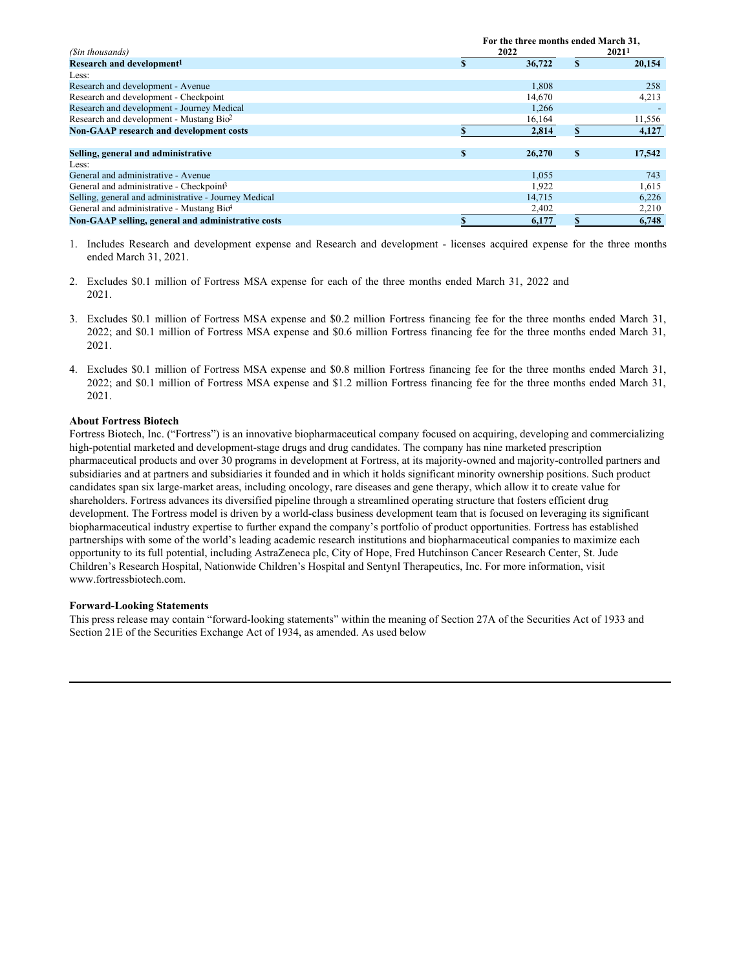|                                                       | For the three months ended March 31, |        |          |        |  |  |
|-------------------------------------------------------|--------------------------------------|--------|----------|--------|--|--|
| (Sin thousands)                                       | 2022<br>20211                        |        |          |        |  |  |
| Research and development <sup>1</sup>                 | S                                    | 36,722 | S        | 20,154 |  |  |
| Less:                                                 |                                      |        |          |        |  |  |
| Research and development - Avenue                     |                                      | 1,808  |          | 258    |  |  |
| Research and development - Checkpoint                 |                                      | 14,670 |          | 4,213  |  |  |
| Research and development - Journey Medical            |                                      | 1,266  |          |        |  |  |
| Research and development - Mustang Bio <sup>2</sup>   |                                      | 16,164 |          | 11,556 |  |  |
| <b>Non-GAAP research and development costs</b>        |                                      | 2,814  |          | 4,127  |  |  |
| Selling, general and administrative                   | S                                    | 26,270 | <b>S</b> | 17,542 |  |  |
| Less:                                                 |                                      |        |          |        |  |  |
| General and administrative - Avenue                   |                                      | 1,055  |          | 743    |  |  |
| General and administrative - Checkpoint <sup>3</sup>  |                                      | 1,922  |          | 1,615  |  |  |
| Selling, general and administrative - Journey Medical |                                      | 14,715 |          | 6,226  |  |  |
| General and administrative - Mustang Bio <sup>4</sup> |                                      | 2,402  |          | 2,210  |  |  |
| Non-GAAP selling, general and administrative costs    |                                      | 6,177  |          | 6,748  |  |  |

- 1. Includes Research and development expense and Research and development licenses acquired expense for the three months ended March 31, 2021.
- 2. Excludes \$0.1 million of Fortress MSA expense for each of the three months ended March 31, 2022 and 2021.
- 3. Excludes \$0.1 million of Fortress MSA expense and \$0.2 million Fortress financing fee for the three months ended March 31, 2022; and \$0.1 million of Fortress MSA expense and \$0.6 million Fortress financing fee for the three months ended March 31, 2021.
- 4. Excludes \$0.1 million of Fortress MSA expense and \$0.8 million Fortress financing fee for the three months ended March 31, 2022; and \$0.1 million of Fortress MSA expense and \$1.2 million Fortress financing fee for the three months ended March 31, 2021.

## **About Fortress Biotech**

Fortress Biotech, Inc. ("Fortress") is an innovative biopharmaceutical company focused on acquiring, developing and commercializing high-potential marketed and development-stage drugs and drug candidates. The company has nine marketed prescription pharmaceutical products and over 30 programs in development at Fortress, at its majority-owned and majority-controlled partners and subsidiaries and at partners and subsidiaries it founded and in which it holds significant minority ownership positions. Such product candidates span six large-market areas, including oncology, rare diseases and gene therapy, which allow it to create value for shareholders. Fortress advances its diversified pipeline through a streamlined operating structure that fosters efficient drug development. The Fortress model is driven by a world-class business development team that is focused on leveraging its significant biopharmaceutical industry expertise to further expand the company's portfolio of product opportunities. Fortress has established partnerships with some of the world's leading academic research institutions and biopharmaceutical companies to maximize each opportunity to its full potential, including AstraZeneca plc, City of Hope, Fred Hutchinson Cancer Research Center, St. Jude Children's Research Hospital, Nationwide Children's Hospital and Sentynl Therapeutics, Inc. For more information, visit www.fortressbiotech.com.

### **Forward-Looking Statements**

This press release may contain "forward-looking statements" within the meaning of Section 27A of the Securities Act of 1933 and Section 21E of the Securities Exchange Act of 1934, as amended. As used below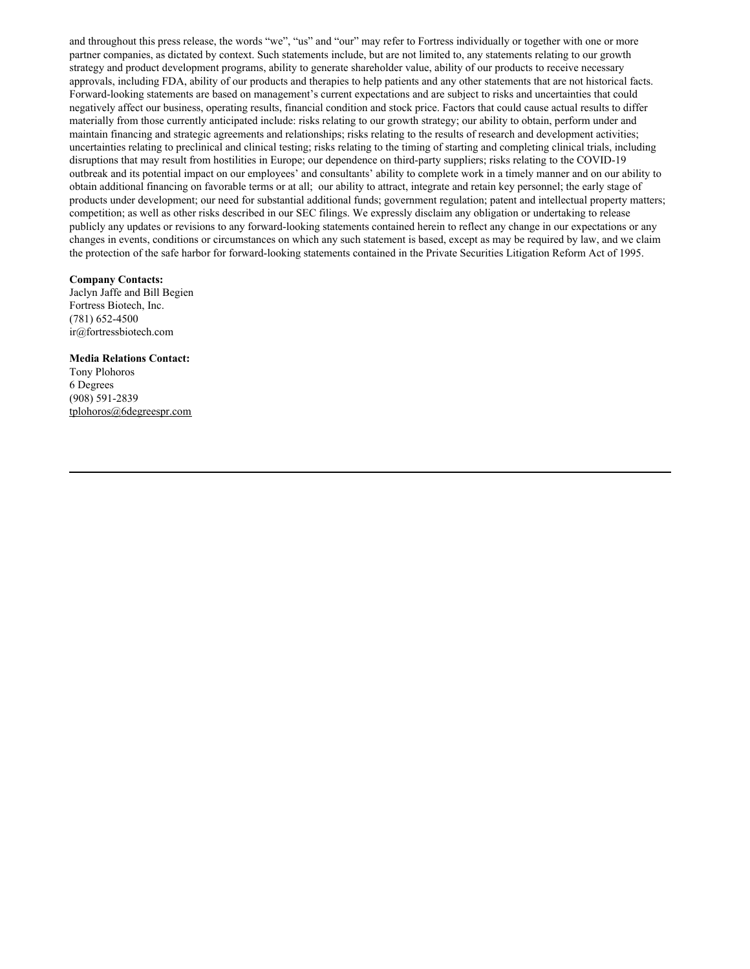and throughout this press release, the words "we", "us" and "our" may refer to Fortress individually or together with one or more partner companies, as dictated by context. Such statements include, but are not limited to, any statements relating to our growth strategy and product development programs, ability to generate shareholder value, ability of our products to receive necessary approvals, including FDA, ability of our products and therapies to help patients and any other statements that are not historical facts. Forward-looking statements are based on management's current expectations and are subject to risks and uncertainties that could negatively affect our business, operating results, financial condition and stock price. Factors that could cause actual results to differ materially from those currently anticipated include: risks relating to our growth strategy; our ability to obtain, perform under and maintain financing and strategic agreements and relationships; risks relating to the results of research and development activities; uncertainties relating to preclinical and clinical testing; risks relating to the timing of starting and completing clinical trials, including disruptions that may result from hostilities in Europe; our dependence on third-party suppliers; risks relating to the COVID-19 outbreak and its potential impact on our employees' and consultants' ability to complete work in a timely manner and on our ability to obtain additional financing on favorable terms or at all; our ability to attract, integrate and retain key personnel; the early stage of products under development; our need for substantial additional funds; government regulation; patent and intellectual property matters; competition; as well as other risks described in our SEC filings. We expressly disclaim any obligation or undertaking to release publicly any updates or revisions to any forward-looking statements contained herein to reflect any change in our expectations or any changes in events, conditions or circumstances on which any such statement is based, except as may be required by law, and we claim the protection of the safe harbor for forward-looking statements contained in the Private Securities Litigation Reform Act of 1995.

#### **Company Contacts:**

Jaclyn Jaffe and Bill Begien Fortress Biotech, Inc. (781) 652-4500 ir@fortressbiotech.com

#### **Media Relations Contact:**

Tony Plohoros 6 Degrees (908) 591-2839 tplohoros@6degreespr.com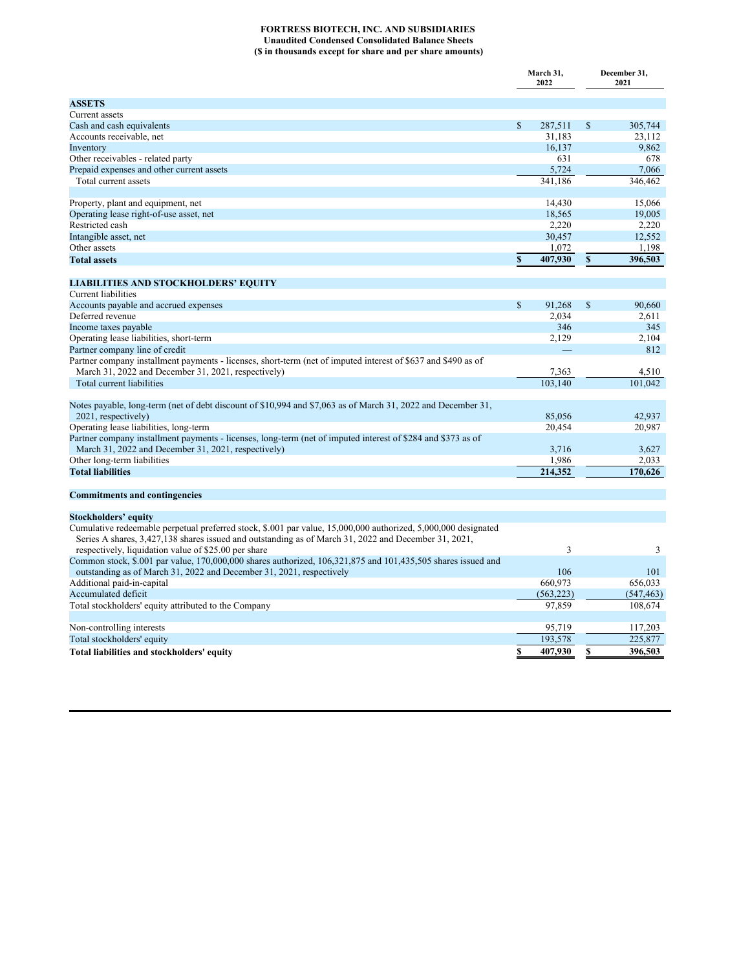#### **FORTRESS BIOTECH, INC. AND SUBSIDIARIES Unaudited Condensed Consolidated Balance Sheets (\$ in thousands except for share and per share amounts)**

|                                                                                                                                                                                                                        | March 31,<br>2022 |            |              | December 31,<br>2021 |  |
|------------------------------------------------------------------------------------------------------------------------------------------------------------------------------------------------------------------------|-------------------|------------|--------------|----------------------|--|
| <b>ASSETS</b>                                                                                                                                                                                                          |                   |            |              |                      |  |
| Current assets                                                                                                                                                                                                         |                   |            |              |                      |  |
| Cash and cash equivalents                                                                                                                                                                                              | $\mathbf S$       | 287,511    | S            | 305,744              |  |
| Accounts receivable, net                                                                                                                                                                                               |                   | 31.183     |              | 23.112               |  |
| Inventory                                                                                                                                                                                                              |                   | 16,137     |              | 9,862                |  |
| Other receivables - related party                                                                                                                                                                                      |                   | 631        |              | 678                  |  |
| Prepaid expenses and other current assets                                                                                                                                                                              |                   | 5,724      |              | 7,066                |  |
| Total current assets                                                                                                                                                                                                   |                   | 341.186    |              | 346,462              |  |
| Property, plant and equipment, net                                                                                                                                                                                     |                   | 14,430     |              | 15,066               |  |
| Operating lease right-of-use asset, net                                                                                                                                                                                |                   | 18,565     |              | 19,005               |  |
| Restricted cash                                                                                                                                                                                                        |                   | 2,220      |              | 2,220                |  |
| Intangible asset, net                                                                                                                                                                                                  |                   | 30,457     |              | 12,552               |  |
| Other assets                                                                                                                                                                                                           |                   | 1,072      |              | 1,198                |  |
| <b>Total assets</b>                                                                                                                                                                                                    | \$                | 407,930    | \$           | 396,503              |  |
| <b>LIABILITIES AND STOCKHOLDERS' EQUITY</b>                                                                                                                                                                            |                   |            |              |                      |  |
| <b>Current liabilities</b>                                                                                                                                                                                             |                   |            |              |                      |  |
| Accounts payable and accrued expenses                                                                                                                                                                                  | $\mathsf{\$}$     | 91,268     | $\mathbb{S}$ | 90.660               |  |
| Deferred revenue                                                                                                                                                                                                       |                   | 2,034      |              | 2,611                |  |
| Income taxes payable                                                                                                                                                                                                   |                   | 346        |              | 345                  |  |
| Operating lease liabilities, short-term                                                                                                                                                                                |                   | 2,129      |              | 2,104                |  |
| Partner company line of credit                                                                                                                                                                                         |                   |            |              | 812                  |  |
| Partner company installment payments - licenses, short-term (net of imputed interest of \$637 and \$490 as of                                                                                                          |                   |            |              |                      |  |
| March 31, 2022 and December 31, 2021, respectively)                                                                                                                                                                    |                   | 7,363      |              | 4,510                |  |
| Total current liabilities                                                                                                                                                                                              |                   | 103,140    |              | 101,042              |  |
| Notes payable, long-term (net of debt discount of \$10,994 and \$7,063 as of March 31, 2022 and December 31,                                                                                                           |                   |            |              |                      |  |
| 2021, respectively)                                                                                                                                                                                                    |                   | 85,056     |              | 42,937               |  |
| Operating lease liabilities, long-term                                                                                                                                                                                 |                   | 20,454     |              | 20,987               |  |
| Partner company installment payments - licenses, long-term (net of imputed interest of \$284 and \$373 as of                                                                                                           |                   |            |              |                      |  |
| March 31, 2022 and December 31, 2021, respectively)                                                                                                                                                                    |                   | 3,716      |              | 3,627                |  |
| Other long-term liabilities                                                                                                                                                                                            |                   | 1,986      |              | 2,033                |  |
| <b>Total liabilities</b>                                                                                                                                                                                               |                   | 214,352    |              | 170,626              |  |
|                                                                                                                                                                                                                        |                   |            |              |                      |  |
| <b>Commitments and contingencies</b>                                                                                                                                                                                   |                   |            |              |                      |  |
| <b>Stockholders' equity</b>                                                                                                                                                                                            |                   |            |              |                      |  |
| Cumulative redeemable perpetual preferred stock, \$.001 par value, 15,000,000 authorized, 5,000,000 designated<br>Series A shares, 3,427,138 shares issued and outstanding as of March 31, 2022 and December 31, 2021, |                   |            |              |                      |  |
| respectively, liquidation value of \$25.00 per share                                                                                                                                                                   |                   | 3          |              | 3                    |  |
| Common stock, \$.001 par value, 170,000,000 shares authorized, 106,321,875 and 101,435,505 shares issued and                                                                                                           |                   |            |              |                      |  |
| outstanding as of March 31, 2022 and December 31, 2021, respectively                                                                                                                                                   |                   | 106        |              | 101                  |  |
| Additional paid-in-capital                                                                                                                                                                                             |                   | 660,973    |              | 656,033              |  |
| Accumulated deficit                                                                                                                                                                                                    |                   | (563, 223) |              | (547, 463)           |  |
| Total stockholders' equity attributed to the Company                                                                                                                                                                   |                   | 97,859     |              | 108,674              |  |
| Non-controlling interests                                                                                                                                                                                              |                   | 95,719     |              | 117,203              |  |
| Total stockholders' equity                                                                                                                                                                                             |                   | 193,578    |              | 225,877              |  |
| Total liabilities and stockholders' equity                                                                                                                                                                             | \$                | 407,930    | \$           | 396,503              |  |